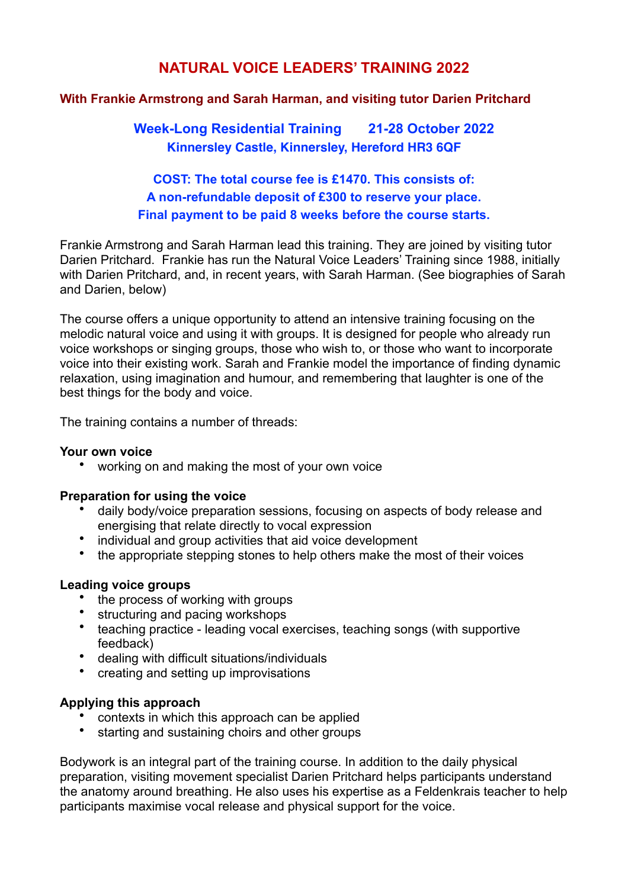# **NATURAL VOICE LEADERS' TRAINING 2022**

## **With Frankie Armstrong and Sarah Harman, and visiting tutor Darien Pritchard**

**Week-Long Residential Training 21-28 October 2022 Kinnersley Castle, Kinnersley, Hereford HR3 6QF**

# **COST: The total course fee is £1470. This consists of: A non-refundable deposit of £300 to reserve your place. Final payment to be paid 8 weeks before the course starts.**

Frankie Armstrong and Sarah Harman lead this training. They are joined by visiting tutor Darien Pritchard. Frankie has run the Natural Voice Leaders' Training since 1988, initially with Darien Pritchard, and, in recent years, with Sarah Harman. (See biographies of Sarah and Darien, below)

The course offers a unique opportunity to attend an intensive training focusing on the melodic natural voice and using it with groups. It is designed for people who already run voice workshops or singing groups, those who wish to, or those who want to incorporate voice into their existing work. Sarah and Frankie model the importance of finding dynamic relaxation, using imagination and humour, and remembering that laughter is one of the best things for the body and voice.

The training contains a number of threads:

## **Your own voice**

• working on and making the most of your own voice

#### **Preparation for using the voice**

- daily body/voice preparation sessions, focusing on aspects of body release and energising that relate directly to vocal expression
- individual and group activities that aid voice development
- the appropriate stepping stones to help others make the most of their voices

## **Leading voice groups**

- the process of working with groups
- structuring and pacing workshops
- teaching practice leading vocal exercises, teaching songs (with supportive feedback)
- dealing with difficult situations/individuals
- creating and setting up improvisations

## **Applying this approach**

- contexts in which this approach can be applied
- starting and sustaining choirs and other groups

Bodywork is an integral part of the training course. In addition to the daily physical preparation, visiting movement specialist Darien Pritchard helps participants understand the anatomy around breathing. He also uses his expertise as a Feldenkrais teacher to help participants maximise vocal release and physical support for the voice.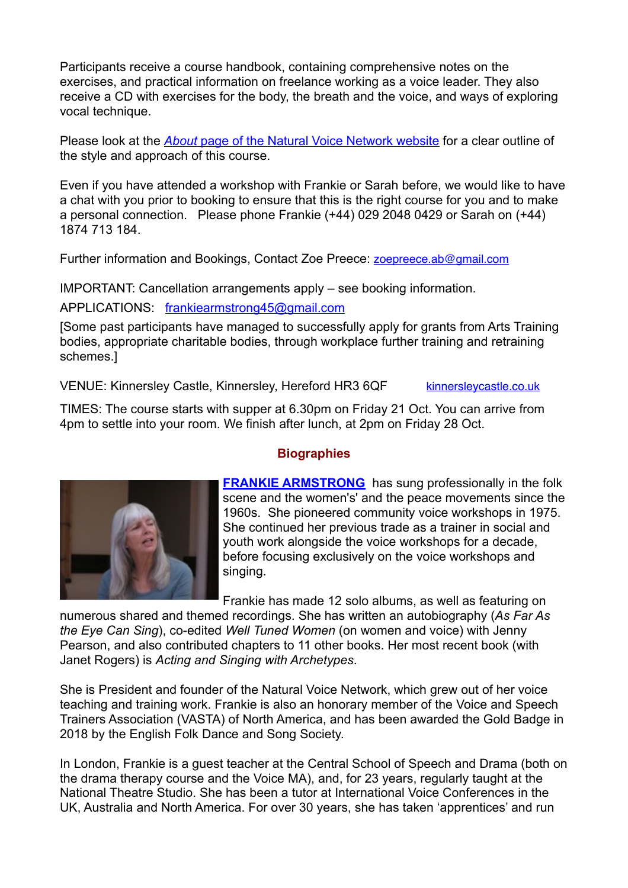Participants receive a course handbook, containing comprehensive notes on the exercises, and practical information on freelance working as a voice leader. They also receive a CD with exercises for the body, the breath and the voice, and ways of exploring vocal technique.

Please look at the *About* [page of the Natural Voice Network website](https://naturalvoice.net/about) for a clear outline of the style and approach of this course.

Even if you have attended a workshop with Frankie or Sarah before, we would like to have a chat with you prior to booking to ensure that this is the right course for you and to make a personal connection. Please phone Frankie (+44) 029 2048 0429 or Sarah on (+44) 1874 713 184.

Further information and Bookings, Contact Zoe Preece: **[zoepreece.ab@gmail.com](mailto:zoepreece.ab@gmail.com)** 

IMPORTANT: Cancellation arrangements apply – see booking information.

APPLICATIONS: [frankiearmstrong45@gmail.com](mailto:frankiearmstrong45@gmail.com)

[Some past participants have managed to successfully apply for grants from Arts Training bodies, appropriate charitable bodies, through workplace further training and retraining schemes.]

VENUE: Kinnersley Castle, Kinnersley, Hereford HR3 6QF [kinnersleycastle.co.uk](http://kinnersleycastle.co.uk)

TIMES: The course starts with supper at 6.30pm on Friday 21 Oct. You can arrive from 4pm to settle into your room. We finish after lunch, at 2pm on Friday 28 Oct.



# **Biographies**

**[FRANKIE ARMSTRONG](http://www.frankiearmstrong.com)** has sung professionally in the folk scene and the women's' and the peace movements since the 1960s. She pioneered community voice workshops in 1975. She continued her previous trade as a trainer in social and youth work alongside the voice workshops for a decade, before focusing exclusively on the voice workshops and singing.

Frankie has made 12 solo albums, as well as featuring on

numerous shared and themed recordings. She has written an autobiography (*As Far As the Eye Can Sing*), co-edited *Well Tuned Women* (on women and voice) with Jenny Pearson, and also contributed chapters to 11 other books. Her most recent book (with Janet Rogers) is *Acting and Singing with Archetypes*.

She is President and founder of the Natural Voice Network, which grew out of her voice teaching and training work. Frankie is also an honorary member of the Voice and Speech Trainers Association (VASTA) of North America, and has been awarded the Gold Badge in 2018 by the English Folk Dance and Song Society.

In London, Frankie is a guest teacher at the Central School of Speech and Drama (both on the drama therapy course and the Voice MA), and, for 23 years, regularly taught at the National Theatre Studio. She has been a tutor at International Voice Conferences in the UK, Australia and North America. For over 30 years, she has taken 'apprentices' and run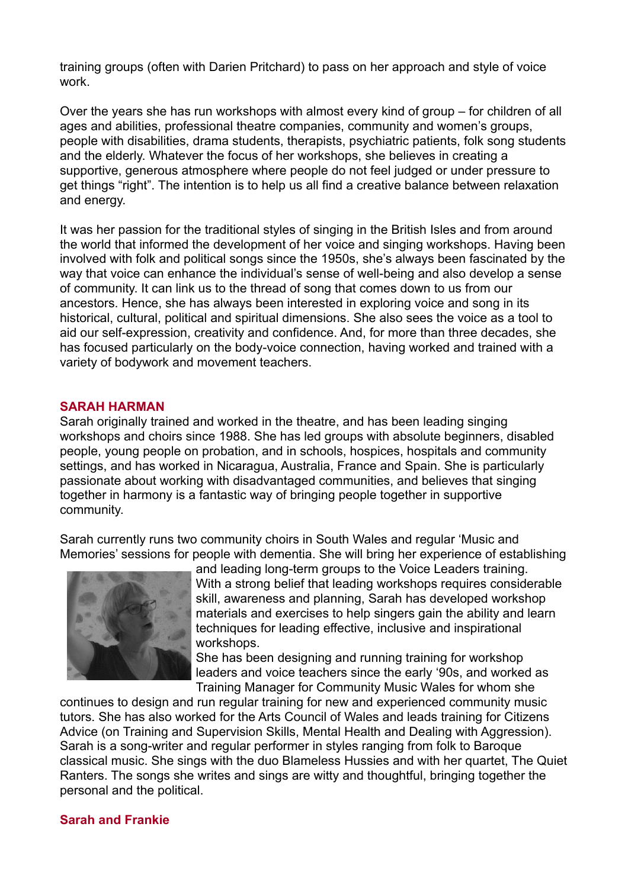training groups (often with Darien Pritchard) to pass on her approach and style of voice work.

Over the years she has run workshops with almost every kind of group – for children of all ages and abilities, professional theatre companies, community and women's groups, people with disabilities, drama students, therapists, psychiatric patients, folk song students and the elderly. Whatever the focus of her workshops, she believes in creating a supportive, generous atmosphere where people do not feel judged or under pressure to get things "right". The intention is to help us all find a creative balance between relaxation and energy.

It was her passion for the traditional styles of singing in the British Isles and from around the world that informed the development of her voice and singing workshops. Having been involved with folk and political songs since the 1950s, she's always been fascinated by the way that voice can enhance the individual's sense of well-being and also develop a sense of community. It can link us to the thread of song that comes down to us from our ancestors. Hence, she has always been interested in exploring voice and song in its historical, cultural, political and spiritual dimensions. She also sees the voice as a tool to aid our self-expression, creativity and confidence. And, for more than three decades, she has focused particularly on the body-voice connection, having worked and trained with a variety of bodywork and movement teachers.

#### **SARAH HARMAN**

Sarah originally trained and worked in the theatre, and has been leading singing workshops and choirs since 1988. She has led groups with absolute beginners, disabled people, young people on probation, and in schools, hospices, hospitals and community settings, and has worked in Nicaragua, Australia, France and Spain. She is particularly passionate about working with disadvantaged communities, and believes that singing together in harmony is a fantastic way of bringing people together in supportive community.

Sarah currently runs two community choirs in South Wales and regular 'Music and Memories' sessions for people with dementia. She will bring her experience of establishing



and leading long-term groups to the Voice Leaders training. With a strong belief that leading workshops requires considerable skill, awareness and planning, Sarah has developed workshop materials and exercises to help singers gain the ability and learn techniques for leading effective, inclusive and inspirational workshops.

She has been designing and running training for workshop leaders and voice teachers since the early '90s, and worked as Training Manager for Community Music Wales for whom she

continues to design and run regular training for new and experienced community music tutors. She has also worked for the Arts Council of Wales and leads training for Citizens Advice (on Training and Supervision Skills, Mental Health and Dealing with Aggression). Sarah is a song-writer and regular performer in styles ranging from folk to Baroque classical music. She sings with the duo Blameless Hussies and with her quartet, The Quiet Ranters. The songs she writes and sings are witty and thoughtful, bringing together the personal and the political.

#### **Sarah and Frankie**